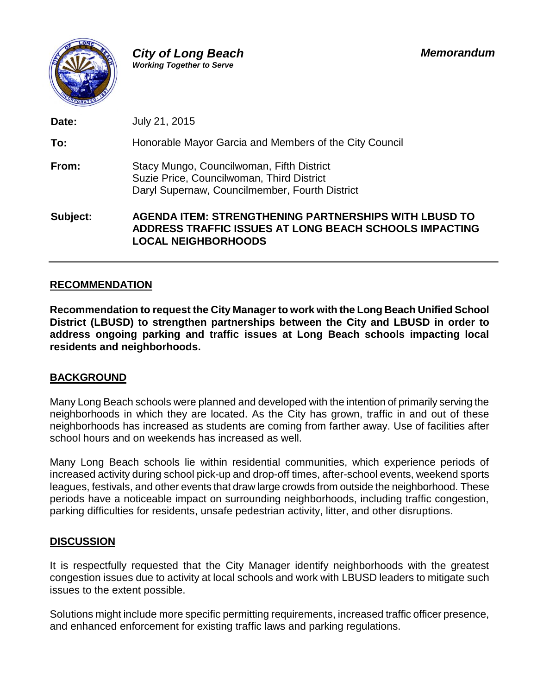

**Date:** July 21, 2015 **To:** Honorable Mayor Garcia and Members of the City Council **From:** Stacy Mungo, Councilwoman, Fifth District Suzie Price, Councilwoman, Third District Daryl Supernaw, Councilmember, Fourth District **Subject: AGENDA ITEM: STRENGTHENING PARTNERSHIPS WITH LBUSD TO**

**ADDRESS TRAFFIC ISSUES AT LONG BEACH SCHOOLS IMPACTING LOCAL NEIGHBORHOODS**

## **RECOMMENDATION**

**Recommendation to request the City Manager to work with the Long Beach Unified School District (LBUSD) to strengthen partnerships between the City and LBUSD in order to address ongoing parking and traffic issues at Long Beach schools impacting local residents and neighborhoods.**

## **BACKGROUND**

Many Long Beach schools were planned and developed with the intention of primarily serving the neighborhoods in which they are located. As the City has grown, traffic in and out of these neighborhoods has increased as students are coming from farther away. Use of facilities after school hours and on weekends has increased as well.

Many Long Beach schools lie within residential communities, which experience periods of increased activity during school pick-up and drop-off times, after-school events, weekend sports leagues, festivals, and other events that draw large crowds from outside the neighborhood. These periods have a noticeable impact on surrounding neighborhoods, including traffic congestion, parking difficulties for residents, unsafe pedestrian activity, litter, and other disruptions.

## **DISCUSSION**

It is respectfully requested that the City Manager identify neighborhoods with the greatest congestion issues due to activity at local schools and work with LBUSD leaders to mitigate such issues to the extent possible.

Solutions might include more specific permitting requirements, increased traffic officer presence, and enhanced enforcement for existing traffic laws and parking regulations.